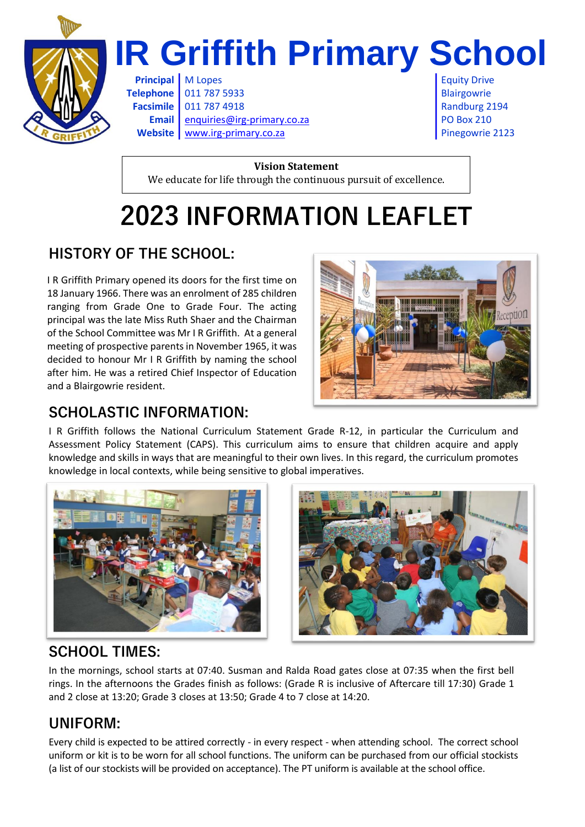

# **IR Griffith Primary School**

**Principal** M Lopes **Equity Drive Equity Drive Telephone** 011 787 5933 Blairgowrie **Facsimile** 011 787 4918 **Randburg 2194** Randburg 2194 **Email** [enquiries@irg-primary.co.za](mailto:enquiries@irg-primary.co.za) PO Box 210 **Website** [www.irg-primary.co.za](http://www.irg-primary.co.za/) **Pinegowrie 2123** 

**Vision Statement** We educate for life through the continuous pursuit of excellence.

# **2023 INFORMATION LEAFLET**

## **HISTORY OF THE SCHOOL:**

I R Griffith Primary opened its doors for the first time on 18 January 1966. There was an enrolment of 285 children ranging from Grade One to Grade Four. The acting principal was the late Miss Ruth Shaer and the Chairman of the School Committee was Mr I R Griffith. At a general meeting of prospective parents in November 1965, it was decided to honour Mr I R Griffith by naming the school after him. He was a retired Chief Inspector of Education and a Blairgowrie resident.



#### **SCHOLASTIC INFORMATION:**

I R Griffith follows the National Curriculum Statement Grade R-12, in particular the Curriculum and Assessment Policy Statement (CAPS). This curriculum aims to ensure that children acquire and apply knowledge and skills in ways that are meaningful to their own lives. In this regard, the curriculum promotes knowledge in local contexts, while being sensitive to global imperatives.





#### **SCHOOL TIMES:**

In the mornings, school starts at 07:40. Susman and Ralda Road gates close at 07:35 when the first bell rings. In the afternoons the Grades finish as follows: (Grade R is inclusive of Aftercare till 17:30) Grade 1 and 2 close at 13:20; Grade 3 closes at 13:50; Grade 4 to 7 close at 14:20.

### **UNIFORM:**

Every child is expected to be attired correctly - in every respect - when attending school. The correct school uniform or kit is to be worn for all school functions. The uniform can be purchased from our official stockists (a list of our stockists will be provided on acceptance). The PT uniform is available at the school office.